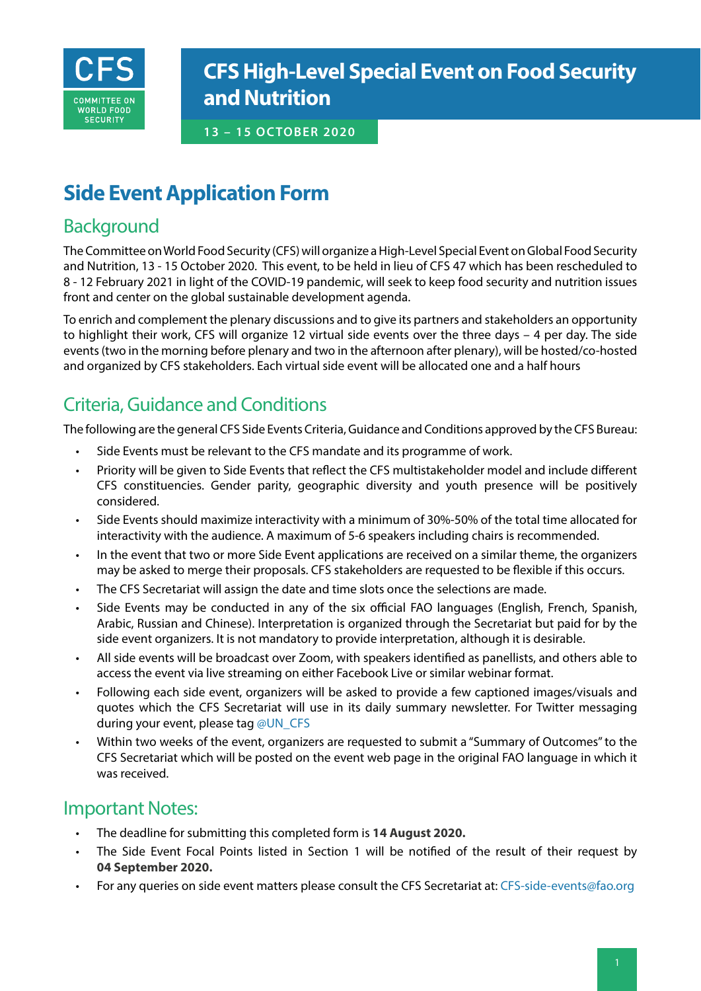

# **CFS High-Level Special Event on Food Security and Nutrition**

#### **13 – 15 OCTOBER 2020**

# **Side Event Application Form**

## Background

The Committee on World Food Security (CFS) will organize a High-Level Special Event on Global Food Security and Nutrition, 13 - 15 October 2020. This event, to be held in lieu of CFS 47 which has been rescheduled to 8 - 12 February 2021 in light of the COVID-19 pandemic, will seek to keep food security and nutrition issues front and center on the global sustainable development agenda.

To enrich and complement the plenary discussions and to give its partners and stakeholders an opportunity to highlight their work, CFS will organize 12 virtual side events over the three days – 4 per day. The side events (two in the morning before plenary and two in the afternoon after plenary), will be hosted/co-hosted and organized by CFS stakeholders. Each virtual side event will be allocated one and a half hours

# Criteria, Guidance and Conditions

The following are the general CFS Side Events Criteria, Guidance and Conditions approved by the CFS Bureau:

- Side Events must be relevant to the CFS mandate and its programme of work.
- Priority will be given to Side Events that reflect the CFS multistakeholder model and include different CFS constituencies. Gender parity, geographic diversity and youth presence will be positively considered.
- Side Events should maximize interactivity with a minimum of 30%-50% of the total time allocated for interactivity with the audience. A maximum of 5-6 speakers including chairs is recommended.
- In the event that two or more Side Event applications are received on a similar theme, the organizers may be asked to merge their proposals. CFS stakeholders are requested to be flexible if this occurs.
- The CFS Secretariat will assign the date and time slots once the selections are made.
- Side Events may be conducted in any of the six official FAO languages (English, French, Spanish, Arabic, Russian and Chinese). Interpretation is organized through the Secretariat but paid for by the side event organizers. It is not mandatory to provide interpretation, although it is desirable.
- All side events will be broadcast over Zoom, with speakers identified as panellists, and others able to access the event via live streaming on either Facebook Live or similar webinar format.
- Following each side event, organizers will be asked to provide a few captioned images/visuals and quotes which the CFS Secretariat will use in its daily summary newsletter. For Twitter messaging during your event, please tag @UN\_CFS
- Within two weeks of the event, organizers are requested to submit a "Summary of Outcomes" to the CFS Secretariat which will be posted on the event web page in the original FAO language in which it was received.

### Important Notes:

- The deadline for submitting this completed form is **14 August 2020.**
- The Side Event Focal Points listed in Section 1 will be notified of the result of their request by **04 September 2020.**
- For any queries on side event matters please consult the CFS Secretariat at: CFS-side-events@fao.org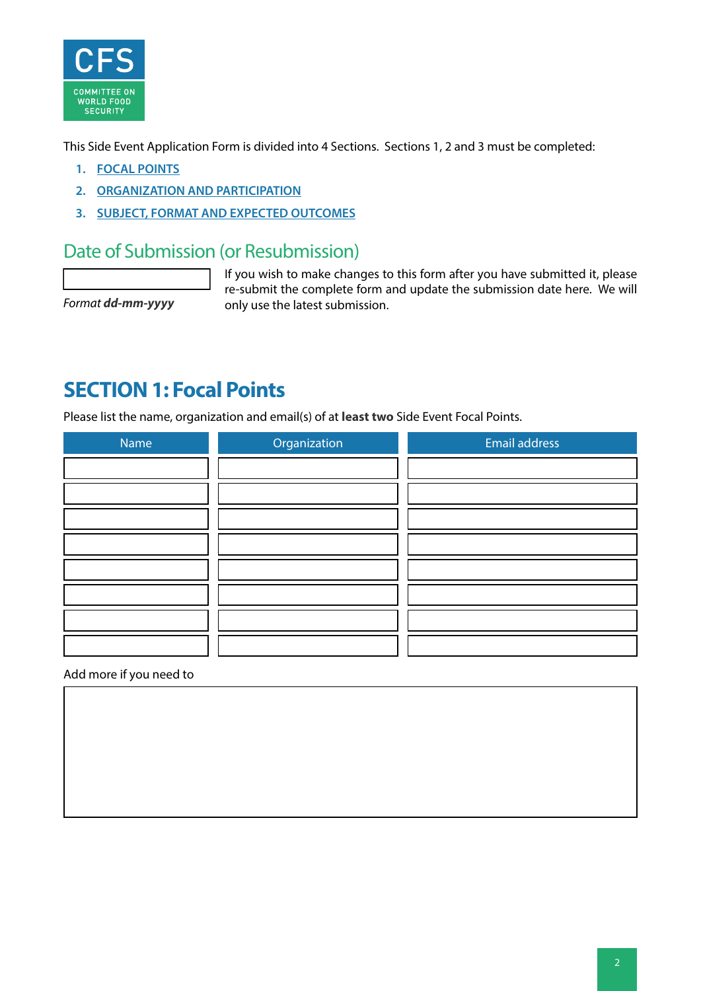

This Side Event Application Form is divided into 4 Sections. Sections 1, 2 and 3 must be completed:

- **1. [FOCAL POINTS](#page-1-0)**
- **2. [ORGANIZATION AND PARTICIPATION](#page-2-0)**
- **3. [SUBJECT, FORMAT AND EXPECTED OUTCOMES](#page-3-0)**

### Date of Submission (or Resubmission)

If you wish to make changes to this form after you have submitted it, please re-submit the complete form and update the submission date here. We will Format *dd-mm-yyyy* only use the latest submission.

# <span id="page-1-0"></span>**SECTION 1: Focal Points**

Please list the name, organization and email(s) of at **least two** Side Event Focal Points.

| Name | Organization | Email address |  |
|------|--------------|---------------|--|
|      |              |               |  |
|      |              |               |  |
|      |              |               |  |
|      |              |               |  |
|      |              |               |  |
|      |              |               |  |
|      |              |               |  |
|      |              |               |  |

Add more if you need to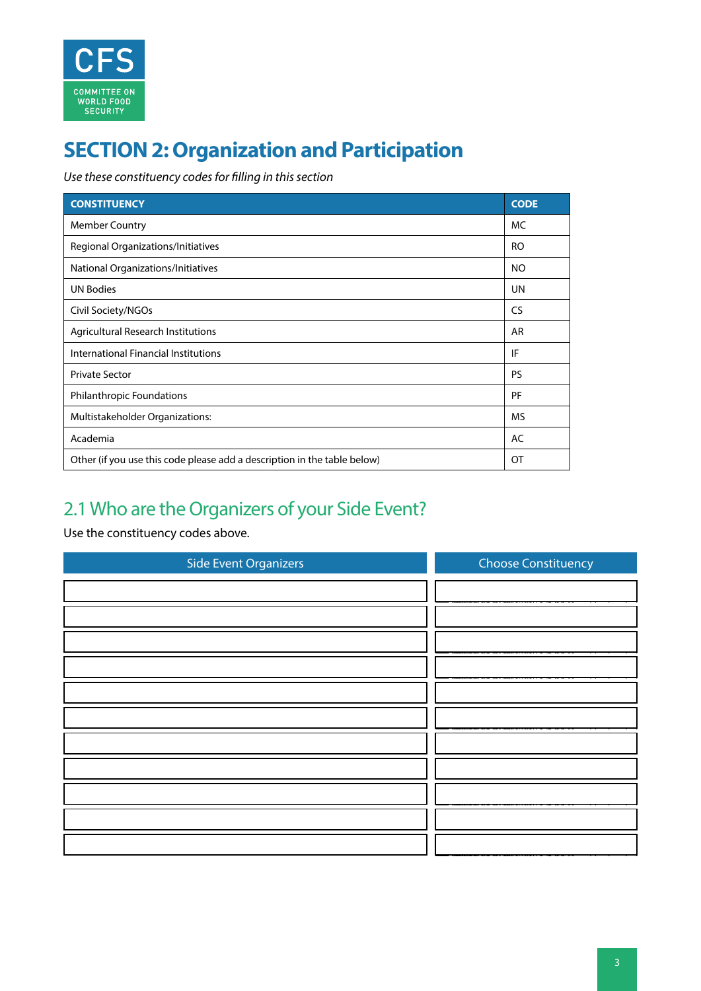

# <span id="page-2-0"></span>**SECTION 2: Organization and Participation**

*Use these constituency codes for filling in this section*

| <b>CONSTITUENCY</b>                                                      | <b>CODE</b> |
|--------------------------------------------------------------------------|-------------|
| <b>Member Country</b>                                                    | MC          |
| Regional Organizations/Initiatives                                       | RO.         |
| National Organizations/Initiatives                                       | <b>NO</b>   |
| <b>UN Bodies</b>                                                         | <b>UN</b>   |
| Civil Society/NGOs                                                       | <b>CS</b>   |
| <b>Agricultural Research Institutions</b>                                | AR          |
| International Financial Institutions                                     | IF          |
| <b>Private Sector</b>                                                    | <b>PS</b>   |
| <b>Philanthropic Foundations</b>                                         | PF          |
| Multistakeholder Organizations:                                          | <b>MS</b>   |
| Academia                                                                 | AC          |
| Other (if you use this code please add a description in the table below) | OT          |

# 2.1 Who are the Organizers of your Side Event?

Use the constituency codes above.

| <b>Side Event Organizers</b> | <b>Choose Constituency</b> |
|------------------------------|----------------------------|
|                              |                            |
|                              |                            |
|                              |                            |
|                              |                            |
|                              |                            |
|                              |                            |
|                              |                            |
|                              |                            |
|                              |                            |
|                              |                            |
|                              |                            |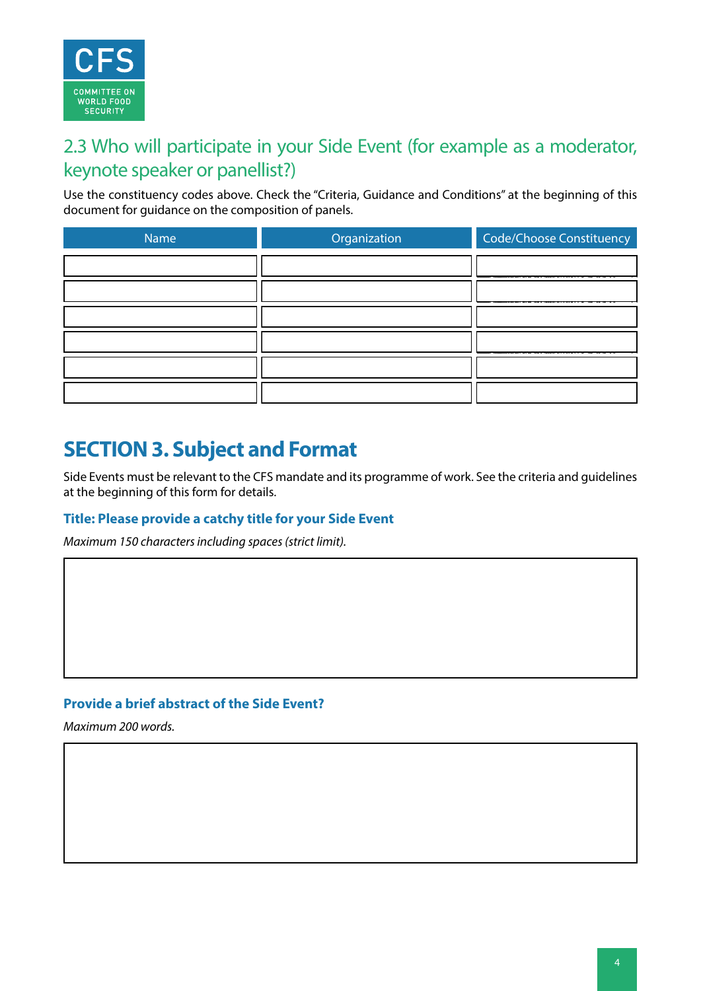

## 2.3 Who will participate in your Side Event (for example as a moderator, keynote speaker or panellist?)

Use the constituency codes above. Check the "Criteria, Guidance and Conditions" at the beginning of this document for guidance on the composition of panels.

| Name | Organization | Code/Choose Constituency |
|------|--------------|--------------------------|
|      |              |                          |
|      |              |                          |
|      |              |                          |
|      |              |                          |
|      |              |                          |
|      |              |                          |

# <span id="page-3-0"></span>**SECTION 3. Subject and Format**

Side Events must be relevant to the CFS mandate and its programme of work. See the criteria and guidelines at the beginning of this form for details.

### **Title: Please provide a catchy title for your Side Event**

*Maximum 150 characters including spaces (strict limit).*

### **Provide a brief abstract of the Side Event?**

*Maximum 200 words.*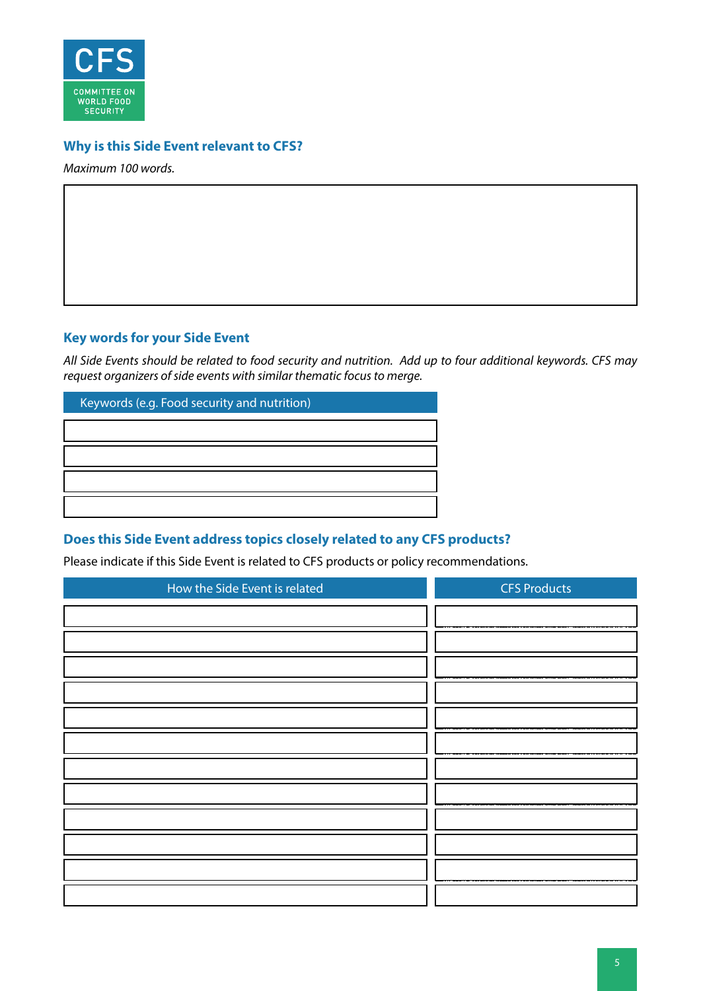

### **Why is this Side Event relevant to CFS?**

*Maximum 100 words.*

### **Key words for your Side Event**

*All Side Events should be related to food security and nutrition. Add up to four additional keywords. CFS may request organizers of side events with similar thematic focus to merge.*

| Keywords (e.g. Food security and nutrition) |  |
|---------------------------------------------|--|
|                                             |  |
|                                             |  |
|                                             |  |
|                                             |  |

### **Does this Side Event address topics closely related to any CFS products?**

Please indicate if this Side Event is related to CFS products or policy recommendations.

| <b>CFS Products</b><br>How the Side Event is related |
|------------------------------------------------------|
|                                                      |
|                                                      |
|                                                      |
|                                                      |
|                                                      |
|                                                      |
|                                                      |
|                                                      |
|                                                      |
|                                                      |
|                                                      |
|                                                      |